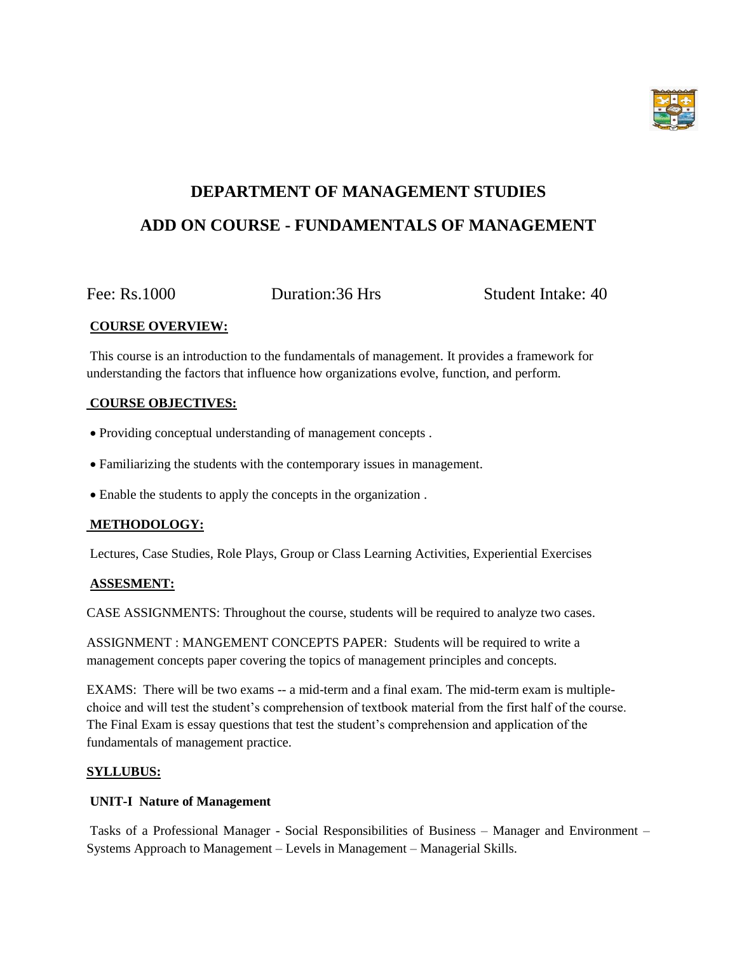

# **DEPARTMENT OF MANAGEMENT STUDIES ADD ON COURSE - FUNDAMENTALS OF MANAGEMENT**

Fee: Rs.1000 Duration:36 Hrs Student Intake: 40

## **COURSE OVERVIEW:**

This course is an introduction to the fundamentals of management. It provides a framework for understanding the factors that influence how organizations evolve, function, and perform.

## **COURSE OBJECTIVES:**

- Providing conceptual understanding of management concepts .
- Familiarizing the students with the contemporary issues in management.
- Enable the students to apply the concepts in the organization .

## **METHODOLOGY:**

Lectures, Case Studies, Role Plays, Group or Class Learning Activities, Experiential Exercises

## **ASSESMENT:**

CASE ASSIGNMENTS: Throughout the course, students will be required to analyze two cases.

ASSIGNMENT : MANGEMENT CONCEPTS PAPER: Students will be required to write a management concepts paper covering the topics of management principles and concepts.

EXAMS: There will be two exams -- a mid-term and a final exam. The mid-term exam is multiplechoice and will test the student's comprehension of textbook material from the first half of the course. The Final Exam is essay questions that test the student's comprehension and application of the fundamentals of management practice.

## **SYLLUBUS:**

## **UNIT-I Nature of Management**

Tasks of a Professional Manager - Social Responsibilities of Business – Manager and Environment – Systems Approach to Management – Levels in Management – Managerial Skills.